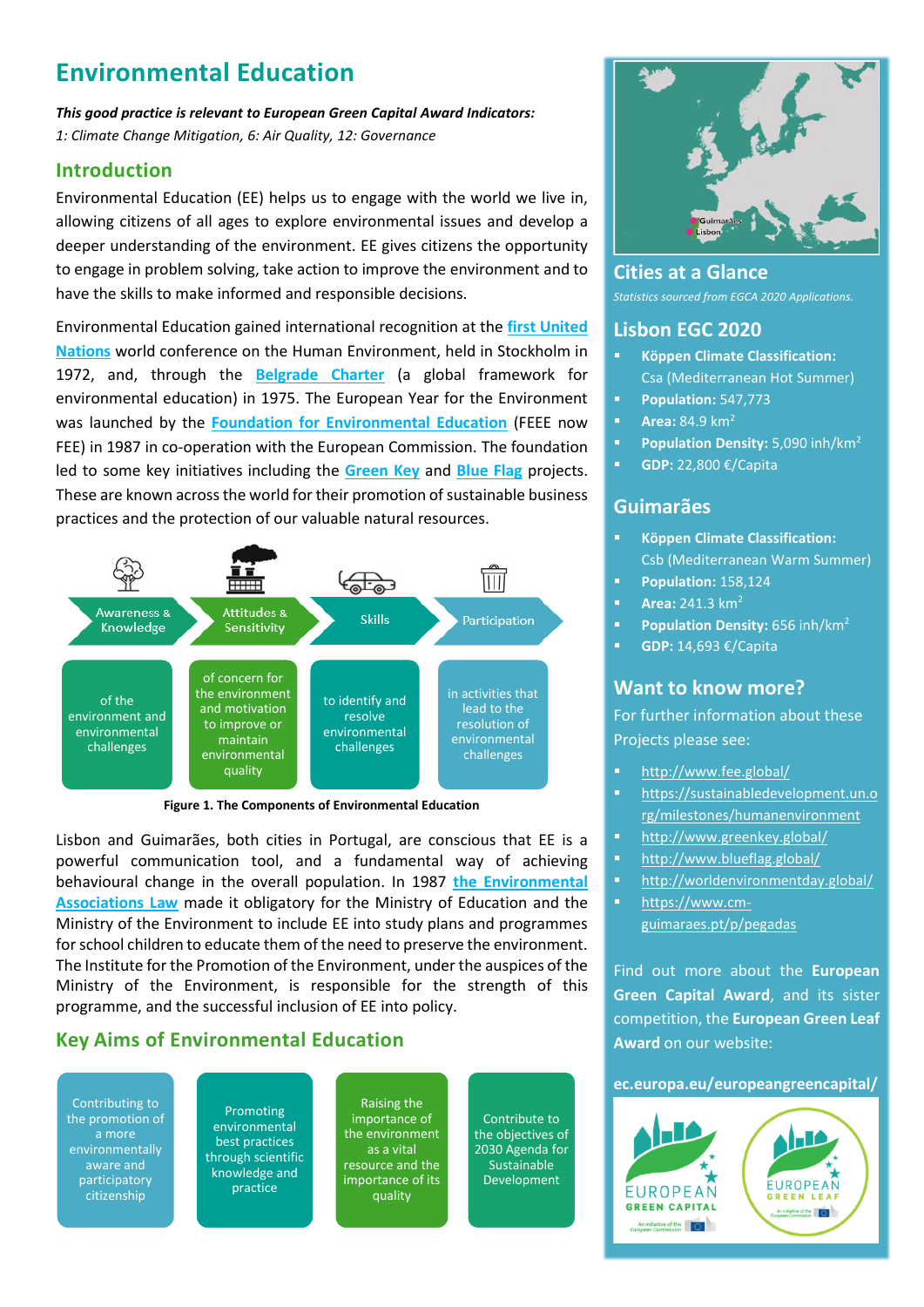# **Environmental Education**

*This good practice is relevant to European Green Capital Award Indicators: 1: Climate Change Mitigation, 6: Air Quality, 12: Governance*

## **Introduction**

Environmental Education (EE) helps us to engage with the world we live in, allowing citizens of all ages to explore environmental issues and develop a deeper understanding of the environment. EE gives citizens the opportunity to engage in problem solving, take action to improve the environment and to have the skills to make informed and responsible decisions.

Environmental Education gained international recognition at the **[first United](https://sustainabledevelopment.un.org/milestones/humanenvironment)  [Nations](https://sustainabledevelopment.un.org/milestones/humanenvironment)** world conference on the Human Environment, held in Stockholm in 1972, and, through the **[Belgrade Charter](https://unesdoc.unesco.org/ark:/48223/pf0000017772)** (a global framework for environmental education) in 1975. The European Year for the Environment was launched by the **[Foundation for Environmental Education](http://www.fee.global/)** (FEEE now FEE) in 1987 in co-operation with the European Commission. The foundation led to some key initiatives including the **[Green Key](http://www.greenkey.global/)** and **[Blue Flag](http://www.blueflag.global/)** projects. These are known across the world for their promotion of sustainable business practices and the protection of our valuable natural resources.



**Figure 1. The Components of Environmental Education**

Lisbon and Guimarães, both cities in Portugal, are conscious that EE is a powerful communication tool, and a fundamental way of achieving behavioural change in the overall population. In 1987 **[the Environmental](https://core.ac.uk/download/pdf/75985803.pdf)  [Associations Law](https://core.ac.uk/download/pdf/75985803.pdf)** made it obligatory for the Ministry of Education and the Ministry of the Environment to include EE into study plans and programmes for school children to educate them of the need to preserve the environment. The Institute for the Promotion of the Environment, under the auspices of the Ministry of the Environment, is responsible for the strength of this programme, and the successful inclusion of EE into policy.

# **Key Aims of Environmental Education**

Contributing to the promotion of a more environmentally aware and participatory citizenship

Promoting environmental best practices through scientific knowledge and practice

Raising the importance of the environment as a vital resource and the importance of its quality

Contribute to the objectives of 2030 Agenda for Sustainable Development



**Cities at a Glance** *Statistics sourced from EGCA 2020 Applications.*

#### **Lisbon EGC 2020**

- **Köppen Climate Classification:** Csa (Mediterranean Hot Summer)
- **Population:** 547,773
- **■ Area:** 84.9 km<sup>2</sup>
- **Population Density:** 5,090 inh/km<sup>2</sup>
- **GDP:** 22,800 €/Capita

# **Guimarães**

- **Köppen Climate Classification:** Csb (Mediterranean Warm Summer)
- **Population:** 158,124
- **• Area:** 241.3 km<sup>2</sup>
- **Population Density:** 656 inh/km<sup>2</sup>
- **GDP:** 14,693 €/Capita

# **Want to know more?**

For further information about these Projects please see:

- <http://www.fee.global/>
- [https://sustainabledevelopment.un.o](https://sustainabledevelopment.un.org/milestones/humanenvironment) [rg/milestones/humanenvironment](https://sustainabledevelopment.un.org/milestones/humanenvironment)
- **■** <http://www.greenkey.global/>
- <http://www.blueflag.global/>
- <http://worldenvironmentday.global/>
- [https://www.cm](https://www.cm-guimaraes.pt/p/pegadas)[guimaraes.pt/p/pegadas](https://www.cm-guimaraes.pt/p/pegadas)

Find out more about the **European Green Capital Award**, and its sister competition, the **European Green Leaf Award** on our website:

**ec.europa.eu/europeangreencapital/**

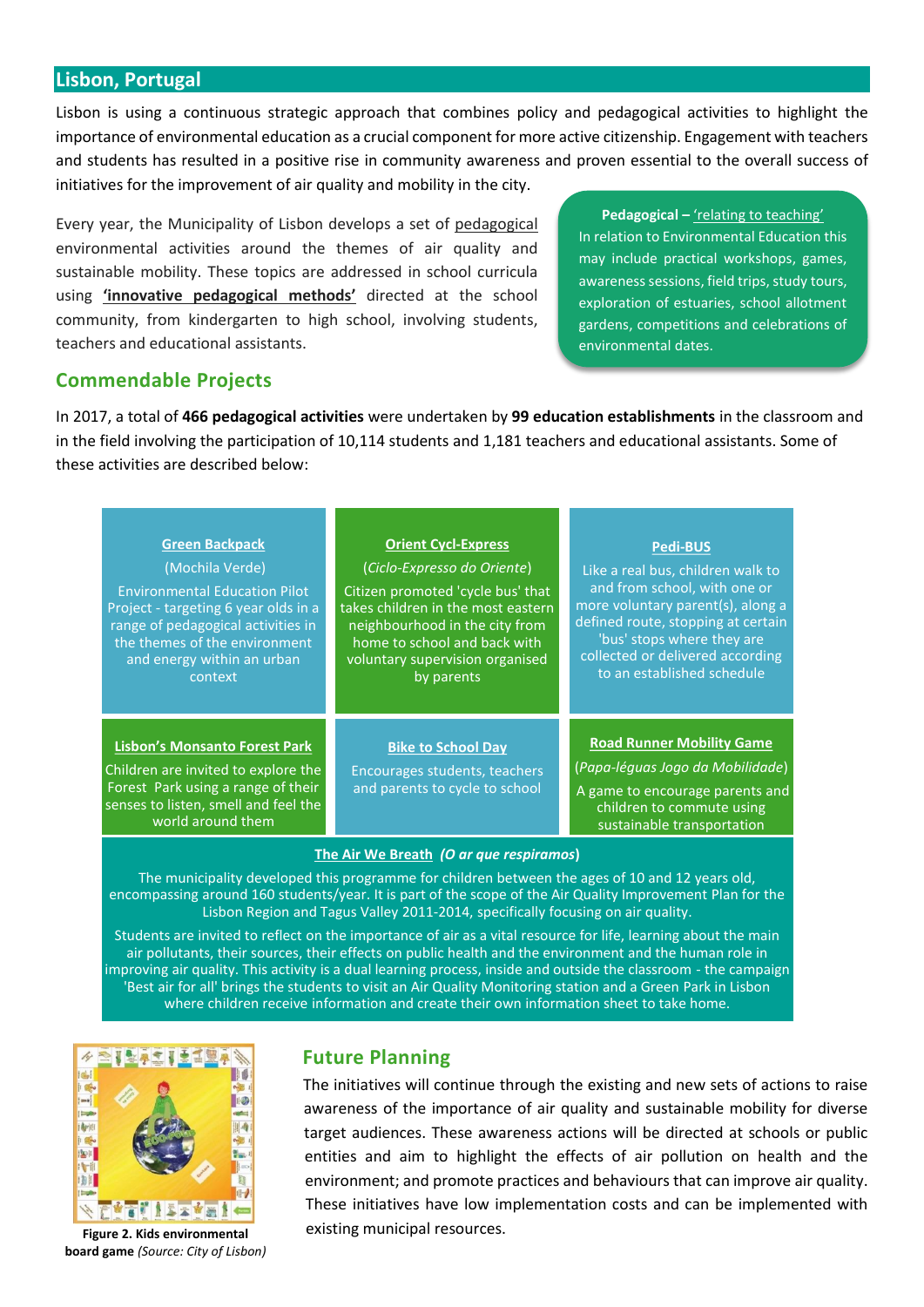#### **Lisbon, Portugal**

Lisbon is using a continuous strategic approach that combines policy and pedagogical activities to highlight the importance of environmental education as a crucial component for more active citizenship. Engagement with teachers and students has resulted in a positive rise in community awareness and proven essential to the overall success of initiatives for the improvement of air quality and mobility in the city.

Every year, the Municipality of Lisbon develops a set of pedagogical environmental activities around the themes of air quality and sustainable mobility. These topics are addressed in school curricula using **'innovative pedagogical methods'** directed at the school community, from kindergarten to high school, involving students, teachers and educational assistants.

**Pedagogical –** 'relating to teaching' In relation to Environmental Education this may include practical workshops, games, awareness sessions, field trips, study tours, exploration of estuaries, school allotment gardens, competitions and celebrations of environmental dates.

# **Commendable Projects**

In 2017, a total of **466 pedagogical activities** were undertaken by **99 education establishments** in the classroom and in the field involving the participation of 10,114 students and 1,181 teachers and educational assistants. Some of these activities are described below:

| <b>Green Backpack</b>                                                                                                                                                          | <b>Orient Cycl-Express</b>                                                                   | <b>Pedi-BUS</b>                                                                                                                                                    |
|--------------------------------------------------------------------------------------------------------------------------------------------------------------------------------|----------------------------------------------------------------------------------------------|--------------------------------------------------------------------------------------------------------------------------------------------------------------------|
| (Mochila Verde)                                                                                                                                                                | (Ciclo-Expresso do Oriente)                                                                  | Like a real bus, children walk to                                                                                                                                  |
| <b>Environmental Education Pilot</b>                                                                                                                                           | Citizen promoted 'cycle bus' that                                                            | and from school, with one or                                                                                                                                       |
| Project - targeting 6 year olds in a                                                                                                                                           | takes children in the most eastern                                                           | more voluntary parent(s), along a                                                                                                                                  |
| range of pedagogical activities in                                                                                                                                             | neighbourhood in the city from                                                               | defined route, stopping at certain                                                                                                                                 |
| the themes of the environment                                                                                                                                                  | home to school and back with                                                                 | 'bus' stops where they are                                                                                                                                         |
| and energy within an urban                                                                                                                                                     | voluntary supervision organised                                                              | collected or delivered according                                                                                                                                   |
| context                                                                                                                                                                        | by parents                                                                                   | to an established schedule                                                                                                                                         |
| <b>Lisbon's Monsanto Forest Park</b><br>Children are invited to explore the<br>Forest Park using a range of their<br>senses to listen, smell and feel the<br>world around them | <b>Bike to School Day</b><br>Encourages students, teachers<br>and parents to cycle to school | <b>Road Runner Mobility Game</b><br>(Papa-léguas Jogo da Mobilidade)<br>A game to encourage parents and<br>children to commute using<br>sustainable transportation |

**The Air We Breath** *(O ar que respiramos***)** 

The municipality developed this programme for children between the ages of 10 and 12 years old, encompassing around 160 students/year. It is part of the scope of the Air Quality Improvement Plan for the Lisbon Region and Tagus Valley 2011-2014, specifically focusing on air quality.

Students are invited to reflect on the importance of air as a vital resource for life, learning about the main air pollutants, their sources, their effects on public health and the environment and the human role in improving air quality. This activity is a dual learning process, inside and outside the classroom - the campaign 'Best air for all' brings the students to visit an Air Quality Monitoring station and a Green Park in Lisbon where children receive information and create their own information sheet to take home.



**Figure 2. Kids environmental board game** *(Source: City of Lisbon)*

# **Future Planning**

The initiatives will continue through the existing and new sets of actions to raise awareness of the importance of air quality and sustainable mobility for diverse target audiences. These awareness actions will be directed at schools or public entities and aim to highlight the effects of air pollution on health and the environment; and promote practices and behaviours that can improve air quality. These initiatives have low implementation costs and can be implemented with existing municipal resources.